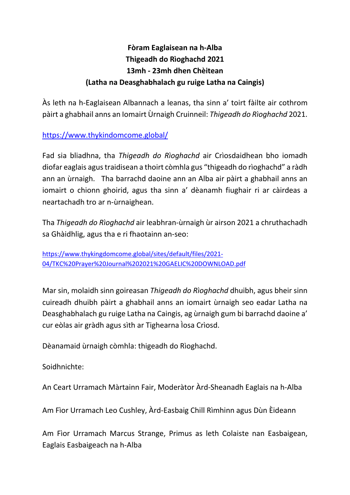## **Fòram Eaglaisean na h-Alba Thigeadh do Rìoghachd 2021 13mh - 23mh dhen Chèitean (Latha na Deasghabhalach gu ruige Latha na Caingis)**

Às leth na h-Eaglaisean Albannach a leanas, tha sinn a' toirt fàilte air cothrom pàirt a ghabhail anns an Iomairt Ùrnaigh Cruinneil: *Thigeadh do Rìoghachd* 2021.

[https://www.thykindomcome.global/](https://avanan.url-protection.com/v1/url?o=https%3A//www.thykindomcome.global/&g=NDNmMGU5ZmNhYmMyYjg1NA==&h=NjE5YTk4Y2VmNGQxNmRjYWUyNzQwMmI0ZDI1ZGNiOTlhNjM5NWQ5YzMxN2EwZWQxNDc5ZDNkZGFiYzUyMWY3Ng==&p=YXAzOmNvczphdmFuYW46bzowODA3MjhiNTJjODUxNjQ1ZTFjNzBkNzVmNDc2ODViMjp2MQ==)

Fad sia bliadhna, tha *Thigeadh do Rìoghachd* air Crìosdaidhean bho iomadh diofar eaglais agus traidisean a thoirt còmhla gus "thigeadh do rìoghachd" a ràdh ann an ùrnaigh. Tha barrachd daoine ann an Alba air pàirt a ghabhail anns an iomairt o chionn ghoirid, agus tha sinn a' dèanamh fiughair ri ar càirdeas a neartachadh tro ar n-ùrnaighean.

Tha *Thigeadh do Rìoghachd* air leabhran-ùrnaigh ùr airson 2021 a chruthachadh sa Ghàidhlig, agus tha e ri fhaotainn an-seo:

[https://www.thykingdomcome.global/sites/default/files/2021-](https://avanan.url-protection.com/v1/url?o=https%3A//www.thykingdomcome.global/sites/default/files/2021-04/TKC%2520Prayer%2520Journal%25202021%2520GAELIC%2520DOWNLOAD.pdf&g=ZmU2YTE1MGNhMDM2NmY0Mw==&h=Y2NkN2EzMDFhYjk3NWFhODFhNzQxMjJlMWRkMjE4ZTBmYmU4YTJkZmJlNTRhOTQ3NDZhMzYxZmVmNGYxNWY1ZQ==&p=YXAzOmNvczphdmFuYW46bzowODA3MjhiNTJjODUxNjQ1ZTFjNzBkNzVmNDc2ODViMjp2MQ==) [04/TKC%20Prayer%20Journal%202021%20GAELIC%20DOWNLOAD.pdf](https://avanan.url-protection.com/v1/url?o=https%3A//www.thykingdomcome.global/sites/default/files/2021-04/TKC%2520Prayer%2520Journal%25202021%2520GAELIC%2520DOWNLOAD.pdf&g=ZmU2YTE1MGNhMDM2NmY0Mw==&h=Y2NkN2EzMDFhYjk3NWFhODFhNzQxMjJlMWRkMjE4ZTBmYmU4YTJkZmJlNTRhOTQ3NDZhMzYxZmVmNGYxNWY1ZQ==&p=YXAzOmNvczphdmFuYW46bzowODA3MjhiNTJjODUxNjQ1ZTFjNzBkNzVmNDc2ODViMjp2MQ==)

Mar sin, molaidh sinn goireasan *Thigeadh do Rìoghachd* dhuibh, agus bheir sinn cuireadh dhuibh pàirt a ghabhail anns an iomairt ùrnaigh seo eadar Latha na Deasghabhalach gu ruige Latha na Caingis, ag ùrnaigh gum bi barrachd daoine a' cur eòlas air gràdh agus sìth ar Tighearna Ìosa Crìosd.

Dèanamaid ùrnaigh còmhla: thigeadh do Rìoghachd.

Soidhnichte:

An Ceart Urramach Màrtainn Fair, Moderàtor Àrd-Sheanadh Eaglais na h-Alba

Am Fìor Urramach Leo Cushley, Àrd-Easbaig Chill Rìmhinn agus Dùn Èideann

Am Fìor Urramach Marcus Strange, Primus as leth Colaiste nan Easbaigean, Eaglais Easbaigeach na h-Alba